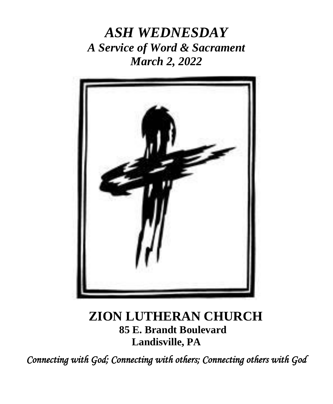*ASH WEDNESDAY A Service of Word & Sacrament March 2, 2022*



# **ZION LUTHERAN CHURCH 85 E. Brandt Boulevard Landisville, PA**

*Connecting with God; Connecting with others; Connecting others with God*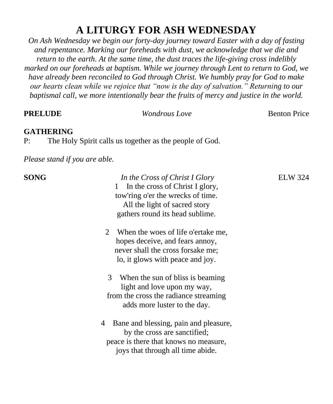# **A LITURGY FOR ASH WEDNESDAY**

*On Ash Wednesday we begin our forty-day journey toward Easter with a day of fasting and repentance. Marking our foreheads with dust, we acknowledge that we die and return to the earth. At the same time, the dust traces the life-giving cross indelibly marked on our foreheads at baptism. While we journey through Lent to return to God, we have already been reconciled to God through Christ. We humbly pray for God to make our hearts clean while we rejoice that "now is the day of salvation." Returning to our baptismal call, we more intentionally bear the fruits of mercy and justice in the world.*

| <b>PRELUDE</b>                | <b>Wondrous Love</b>                                                                                                                                                                                                                                                                                                                                                                                                                                                                                                                                                                                                                      | <b>Benton Price</b> |
|-------------------------------|-------------------------------------------------------------------------------------------------------------------------------------------------------------------------------------------------------------------------------------------------------------------------------------------------------------------------------------------------------------------------------------------------------------------------------------------------------------------------------------------------------------------------------------------------------------------------------------------------------------------------------------------|---------------------|
| <b>GATHERING</b><br>P:        | The Holy Spirit calls us together as the people of God.                                                                                                                                                                                                                                                                                                                                                                                                                                                                                                                                                                                   |                     |
| Please stand if you are able. |                                                                                                                                                                                                                                                                                                                                                                                                                                                                                                                                                                                                                                           |                     |
| <b>SONG</b><br>2<br>4         | In the Cross of Christ I Glory<br>In the cross of Christ I glory,<br>1<br>tow'ring o'er the wrecks of time.<br>All the light of sacred story<br>gathers round its head sublime.<br>When the woes of life o'ertake me,<br>hopes deceive, and fears annoy,<br>never shall the cross forsake me;<br>lo, it glows with peace and joy.<br>3<br>When the sun of bliss is beaming<br>light and love upon my way,<br>from the cross the radiance streaming<br>adds more luster to the day.<br>Bane and blessing, pain and pleasure,<br>by the cross are sanctified;<br>peace is there that knows no measure,<br>joys that through all time abide. | <b>ELW 324</b>      |
|                               |                                                                                                                                                                                                                                                                                                                                                                                                                                                                                                                                                                                                                                           |                     |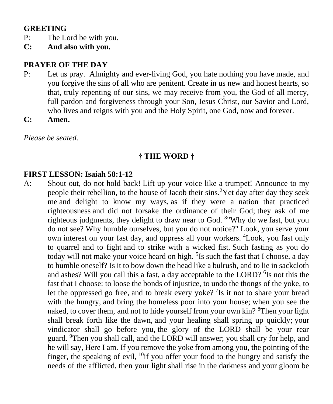#### **GREETING**

- P: The Lord be with you.
- **C: And also with you.**

### **PRAYER OF THE DAY**

- P: Let us pray. Almighty and ever-living God, you hate nothing you have made, and you forgive the sins of all who are penitent. Create in us new and honest hearts, so that, truly repenting of our sins, we may receive from you, the God of all mercy, full pardon and forgiveness through your Son, Jesus Christ, our Savior and Lord, who lives and reigns with you and the Holy Spirit, one God, now and forever.
- **C: Amen.**

*Please be seated.*

#### **† THE WORD †**

#### **FIRST LESSON: Isaiah 58:1-12**

A: Shout out, do not hold back! Lift up your voice like a trumpet! Announce to my people their rebellion, to the house of Jacob their sins.<sup>2</sup>Yet day after day they seek me and delight to know my ways, as if they were a nation that practiced righteousness and did not forsake the ordinance of their God; they ask of me righteous judgments, they delight to draw near to God. <sup>3</sup> "Why do we fast, but you do not see? Why humble ourselves, but you do not notice?" Look, you serve your own interest on your fast day, and oppress all your workers. <sup>4</sup>Look, you fast only to quarrel and to fight and to strike with a wicked fist. Such fasting as you do today will not make your voice heard on high. <sup>5</sup>Is such the fast that I choose, a day to humble oneself? Is it to bow down the head like a bulrush, and to lie in sackcloth and ashes? Will you call this a fast, a day acceptable to the LORD? <sup>6</sup>Is not this the fast that I choose: to loose the bonds of injustice, to undo the thongs of the yoke, to let the oppressed go free, and to break every yoke? <sup>7</sup>Is it not to share your bread with the hungry, and bring the homeless poor into your house; when you see the naked, to cover them, and not to hide yourself from your own kin? <sup>8</sup>Then your light shall break forth like the dawn, and your healing shall spring up quickly; your vindicator shall go before you, the glory of the LORD shall be your rear guard. <sup>9</sup>Then you shall call, and the LORD will answer; you shall cry for help, and he will say, Here I am. If you remove the yoke from among you, the pointing of the finger, the speaking of evil,  $^{10}$ if you offer your food to the hungry and satisfy the needs of the afflicted, then your light shall rise in the darkness and your gloom be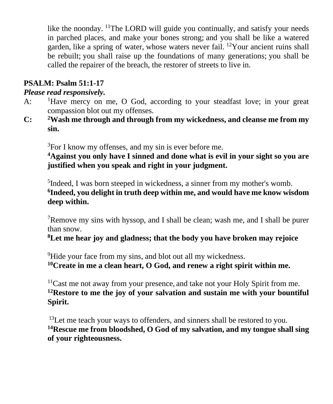like the noonday. <sup>11</sup>The LORD will guide you continually, and satisfy your needs in parched places, and make your bones strong; and you shall be like a watered garden, like a spring of water, whose waters never fail. <sup>12</sup>Your ancient ruins shall be rebuilt; you shall raise up the foundations of many generations; you shall be called the repairer of the breach, the restorer of streets to live in.

# **PSALM: Psalm 51:1-17**

#### *Please read responsively.*

- A:  $\frac{1}{1}$  Have mercy on me, O God, according to your steadfast love; in your great compassion blot out my offenses.
- **C: <sup>2</sup>Wash me through and through from my wickedness, and cleanse me from my sin.**

<sup>3</sup>For I know my offenses, and my sin is ever before me.

**<sup>4</sup>Against you only have I sinned and done what is evil in your sight so you are justified when you speak and right in your judgment.** 

<sup>5</sup>Indeed, I was born steeped in wickedness, a sinner from my mother's womb. **6 Indeed, you delight in truth deep within me, and would have me know wisdom deep within.**

 $7$ Remove my sins with hyssop, and I shall be clean; wash me, and I shall be purer than snow.

**<sup>8</sup>Let me hear joy and gladness; that the body you have broken may rejoice**

<sup>9</sup>Hide your face from my sins, and blot out all my wickedness. **<sup>10</sup>Create in me a clean heart, O God, and renew a right spirit within me.**

 $11$ Cast me not away from your presence, and take not your Holy Spirit from me. **<sup>12</sup>Restore to me the joy of your salvation and sustain me with your bountiful Spirit.** 

 $13$ Let me teach your ways to offenders, and sinners shall be restored to you. **<sup>14</sup>Rescue me from bloodshed, O God of my salvation, and my tongue shall sing of your righteousness.**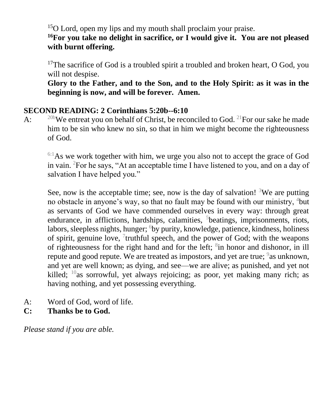<sup>15</sup>O Lord, open my lips and my mouth shall proclaim your praise.

**<sup>16</sup>For you take no delight in sacrifice, or I would give it. You are not pleased with burnt offering.**

 $17$ The sacrifice of God is a troubled spirit a troubled and broken heart, O God, you will not despise.

 **Glory to the Father, and to the Son, and to the Holy Spirit: as it was in the beginning is now, and will be forever. Amen.**

#### **SECOND READING: 2 Corinthians 5:20b--6:10**

A:  $^{20b}$ We entreat you on behalf of Christ, be reconciled to God. <sup>21</sup>For our sake he made him to be sin who knew no sin, so that in him we might become the righteousness of God.

 $6:1$ As we work together with him, we urge you also not to accept the grace of God in vain. <sup>2</sup>For he says, "At an acceptable time I have listened to you, and on a day of salvation I have helped you."

See, now is the acceptable time; see, now is the day of salvation! <sup>3</sup>We are putting no obstacle in anyone's way, so that no fault may be found with our ministry, <sup>4</sup>but as servants of God we have commended ourselves in every way: through great endurance, in afflictions, hardships, calamities, <sup>5</sup>beatings, imprisonments, riots, labors, sleepless nights, hunger; <sup>6</sup>by purity, knowledge, patience, kindness, holiness of spirit, genuine love,  $\frac{7}{1}$ truthful speech, and the power of God; with the weapons of righteousness for the right hand and for the left;  $\delta$ in honor and dishonor, in ill repute and good repute. We are treated as impostors, and yet are true; <sup>9</sup>as unknown, and yet are well known; as dying, and see—we are alive; as punished, and yet not killed;  $10$ <sub>as</sub> sorrowful, yet always rejoicing; as poor, yet making many rich; as having nothing, and yet possessing everything.

- A: Word of God, word of life.
- **C: Thanks be to God.**

*Please stand if you are able.*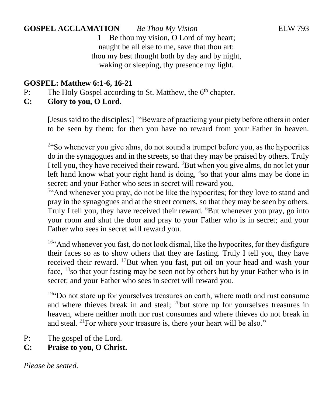**GOSPEL ACCLAMATION** *Be Thou My Vision* ELW 793 1 Be thou my vision, O Lord of my heart; naught be all else to me, save that thou art: thou my best thought both by day and by night,

waking or sleeping, thy presence my light.

### **GOSPEL: Matthew 6:1-6, 16-21**

- P: The Holy Gospel according to St. Matthew, the  $6<sup>th</sup>$  chapter.
- **C: Glory to you, O Lord.**

[Jesus said to the disciples:] <sup>1</sup> "Beware of practicing your piety before others in order to be seen by them; for then you have no reward from your Father in heaven.

<sup>2</sup>"So whenever you give alms, do not sound a trumpet before you, as the hypocrites do in the synagogues and in the streets, so that they may be praised by others. Truly I tell you, they have received their reward.  ${}^{3}$ But when you give alms, do not let your left hand know what your right hand is doing,  $4$ so that your alms may be done in secret; and your Father who sees in secret will reward you.

<sup>54</sup> And whenever you pray, do not be like the hypocrites; for they love to stand and pray in the synagogues and at the street corners, so that they may be seen by others. Truly I tell you, they have received their reward.  $6But$  whenever you pray, go into your room and shut the door and pray to your Father who is in secret; and your Father who sees in secret will reward you.

<sup>16"</sup>And whenever you fast, do not look dismal, like the hypocrites, for they disfigure their faces so as to show others that they are fasting. Truly I tell you, they have received their reward. <sup>17</sup>But when you fast, put oil on your head and wash your face,  $18$ so that your fasting may be seen not by others but by your Father who is in secret; and your Father who sees in secret will reward you.

<sup>19"</sup>Do not store up for yourselves treasures on earth, where moth and rust consume and where thieves break in and steal;  $^{20}$ but store up for yourselves treasures in heaven, where neither moth nor rust consumes and where thieves do not break in and steal. <sup>21</sup>For where your treasure is, there your heart will be also."

- P: The gospel of the Lord.
- **C: Praise to you, O Christ.**

*Please be seated.*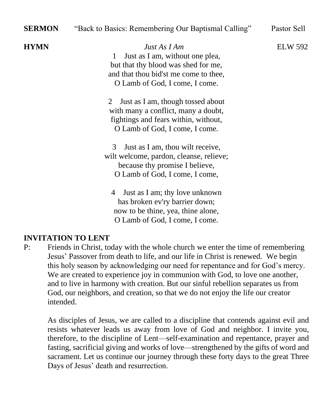| <b>SERMON</b> | "Back to Basics: Remembering Our Baptismal Calling"                                                                                                                    | Pastor Sell    |
|---------------|------------------------------------------------------------------------------------------------------------------------------------------------------------------------|----------------|
| <b>HYMN</b>   | Just As I Am<br>Just as I am, without one plea,<br>1<br>but that thy blood was shed for me,<br>and that thou bid'st me come to thee,<br>O Lamb of God, I come, I come. | <b>ELW 592</b> |
|               | Just as I am, though tossed about<br>$\mathbb{Z}$<br>with many a conflict, many a doubt,<br>fightings and fears within, without,<br>O Lamb of God, I come, I come.     |                |
|               | Just as I am, thou wilt receive,<br>3<br>wilt welcome, pardon, cleanse, relieve;<br>because thy promise I believe,<br>O Lamb of God, I come, I come,                   |                |
|               | 4 Just as I am; thy love unknown<br>has broken ev'ry barrier down;<br>now to be thine, yea, thine alone,<br>O Lamb of God. I come. I come.                             |                |

#### **INVITATION TO LENT**

P: Friends in Christ, today with the whole church we enter the time of remembering Jesus' Passover from death to life, and our life in Christ is renewed. We begin this holy season by acknowledging our need for repentance and for God's mercy. We are created to experience joy in communion with God, to love one another, and to live in harmony with creation. But our sinful rebellion separates us from God, our neighbors, and creation, so that we do not enjoy the life our creator intended.

As disciples of Jesus, we are called to a discipline that contends against evil and resists whatever leads us away from love of God and neighbor. I invite you, therefore, to the discipline of Lent—self-examination and repentance, prayer and fasting, sacrificial giving and works of love—strengthened by the gifts of word and sacrament. Let us continue our journey through these forty days to the great Three Days of Jesus' death and resurrection.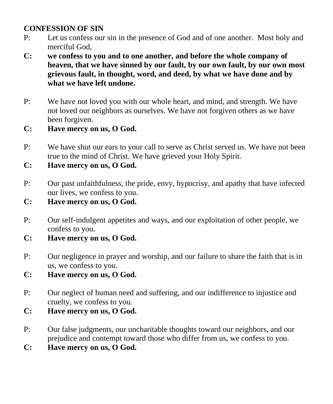#### **CONFESSION OF SIN**

- P: Let us confess our sin in the presence of God and of one another. Most holy and merciful God,
- **C: we confess to you and to one another, and before the whole company of heaven, that we have sinned by our fault, by our own fault, by our own most grievous fault, in thought, word, and deed, by what we have done and by what we have left undone.**
- P: We have not loved you with our whole heart, and mind, and strength. We have not loved our neighbors as ourselves. We have not forgiven others as we have been forgiven.
- **C: Have mercy on us, O God.**
- P: We have shut our ears to your call to serve as Christ served us. We have not been true to the mind of Christ. We have grieved your Holy Spirit.
- **C: Have mercy on us, O God.**
- P: Our past unfaithfulness, the pride, envy, hypocrisy, and apathy that have infected our lives, we confess to you.
- **C: Have mercy on us, O God.**
- P: Our self-indulgent appetites and ways, and our exploitation of other people, we confess to you.
- **C: Have mercy on us, O God.**
- P: Our negligence in prayer and worship, and our failure to share the faith that is in us, we confess to you.
- **C: Have mercy on us, O God.**
- P: Our neglect of human need and suffering, and our indifference to injustice and cruelty, we confess to you.
- **C: Have mercy on us, O God.**
- P: Our false judgments, our uncharitable thoughts toward our neighbors, and our prejudice and contempt toward those who differ from us, we confess to you.
- **C: Have mercy on us, O God.**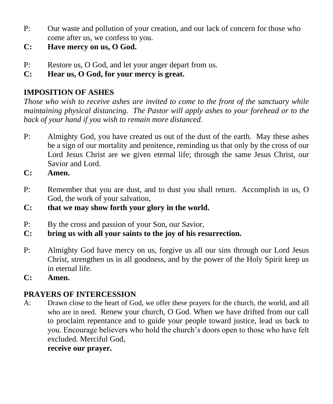- P: Our waste and pollution of your creation, and our lack of concern for those who come after us, we confess to you.
- **C: Have mercy on us, O God.**
- P: Restore us, O God, and let your anger depart from us.
- **C: Hear us, O God, for your mercy is great.**

# **IMPOSITION OF ASHES**

*Those who wish to receive ashes are invited to come to the front of the sanctuary while maintaining physical distancing. The Pastor will apply ashes to your forehead or to the back of your hand if you wish to remain more distanced.*

- P: Almighty God, you have created us out of the dust of the earth. May these ashes be a sign of our mortality and penitence, reminding us that only by the cross of our Lord Jesus Christ are we given eternal life; through the same Jesus Christ, our Savior and Lord.
- **C: Amen.**
- P: Remember that you are dust, and to dust you shall return. Accomplish in us, O God, the work of your salvation,
- **C: that we may show forth your glory in the world.**
- P: By the cross and passion of your Son, our Savior,
- **C: bring us with all your saints to the joy of his resurrection.**
- P: Almighty God have mercy on us, forgive us all our sins through our Lord Jesus Christ, strengthen us in all goodness, and by the power of the Holy Spirit keep us in eternal life.
- **C: Amen.**

# **PRAYERS OF INTERCESSION**

A: Drawn close to the heart of God, we offer these prayers for the church, the world, and all who are in need. Renew your church, O God. When we have drifted from our call to proclaim repentance and to guide your people toward justice, lead us back to you. Encourage believers who hold the church's doors open to those who have felt excluded. Merciful God,

#### **receive our prayer.**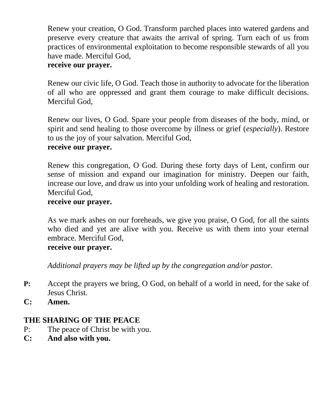Renew your creation, O God. Transform parched places into watered gardens and preserve every creature that awaits the arrival of spring. Turn each of us from practices of environmental exploitation to become responsible stewards of all you have made. Merciful God,

#### **receive our prayer.**

Renew our civic life, O God. Teach those in authority to advocate for the liberation of all who are oppressed and grant them courage to make difficult decisions. Merciful God,

Renew our lives, O God. Spare your people from diseases of the body, mind, or spirit and send healing to those overcome by illness or grief (*especially*). Restore to us the joy of your salvation. Merciful God,

#### **receive our prayer.**

Renew this congregation, O God. During these forty days of Lent, confirm our sense of mission and expand our imagination for ministry. Deepen our faith, increase our love, and draw us into your unfolding work of healing and restoration. Merciful God,

#### **receive our prayer.**

As we mark ashes on our foreheads, we give you praise, O God, for all the saints who died and yet are alive with you. Receive us with them into your eternal embrace. Merciful God,

#### **receive our prayer.**

*Additional prayers may be lifted up by the congregation and/or pastor.*

- **P:** Accept the prayers we bring, O God, on behalf of a world in need, for the sake of Jesus Christ.
- **C: Amen.**

#### **THE SHARING OF THE PEACE**

- P: The peace of Christ be with you.
- **C: And also with you.**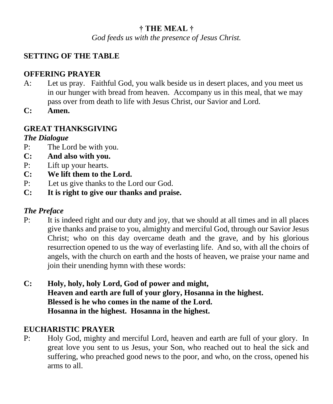# **† THE MEAL †**

*God feeds us with the presence of Jesus Christ.*

### **SETTING OF THE TABLE**

#### **OFFERING PRAYER**

- A: Let us pray. Faithful God, you walk beside us in desert places, and you meet us in our hunger with bread from heaven. Accompany us in this meal, that we may pass over from death to life with Jesus Christ, our Savior and Lord.
- **C: Amen.**

#### **GREAT THANKSGIVING**

#### *The Dialogue*

- P: The Lord be with you.
- **C: And also with you.**
- P: Lift up your hearts.
- **C: We lift them to the Lord.**
- P: Let us give thanks to the Lord our God.
- **C: It is right to give our thanks and praise.**

#### *The Preface*

- P: It is indeed right and our duty and joy, that we should at all times and in all places give thanks and praise to you, almighty and merciful God, through our Savior Jesus Christ; who on this day overcame death and the grave, and by his glorious resurrection opened to us the way of everlasting life. And so, with all the choirs of angels, with the church on earth and the hosts of heaven, we praise your name and join their unending hymn with these words:
- **C: Holy, holy, holy Lord, God of power and might, Heaven and earth are full of your glory, Hosanna in the highest. Blessed is he who comes in the name of the Lord. Hosanna in the highest. Hosanna in the highest.**

#### **EUCHARISTIC PRAYER**

P: Holy God, mighty and merciful Lord, heaven and earth are full of your glory. In great love you sent to us Jesus, your Son, who reached out to heal the sick and suffering, who preached good news to the poor, and who, on the cross, opened his arms to all.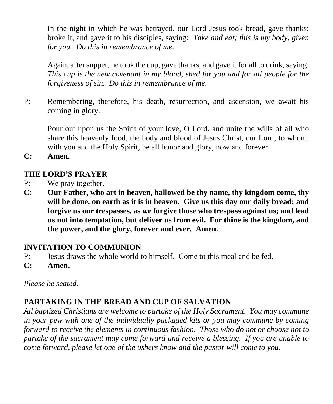In the night in which he was betrayed, our Lord Jesus took bread, gave thanks; broke it, and gave it to his disciples, saying: *Take and eat; this is my body, given for you. Do this in remembrance of me.* 

Again, after supper, he took the cup, gave thanks, and gave it for all to drink, saying: *This cup is the new covenant in my blood, shed for you and for all people for the forgiveness of sin. Do this in remembrance of me.* 

P: Remembering, therefore, his death, resurrection, and ascension, we await his coming in glory.

Pour out upon us the Spirit of your love, O Lord, and unite the wills of all who share this heavenly food, the body and blood of Jesus Christ, our Lord; to whom, with you and the Holy Spirit, be all honor and glory, now and forever.

**C: Amen.**

#### **THE LORD'S PRAYER**

- P: We pray together.
- **C**: **Our Father, who art in heaven, hallowed be thy name, thy kingdom come, thy will be done, on earth as it is in heaven. Give us this day our daily bread; and forgive us our trespasses, as we forgive those who trespass against us; and lead us not into temptation, but deliver us from evil. For thine is the kingdom, and the power, and the glory, forever and ever. Amen.**

#### **INVITATION TO COMMUNION**

- P: Jesus draws the whole world to himself. Come to this meal and be fed.
- **C: Amen.**

*Please be seated.* 

#### **PARTAKING IN THE BREAD AND CUP OF SALVATION**

*All baptized Christians are welcome to partake of the Holy Sacrament. You may commune in your pew with one of the individually packaged kits or you may commune by coming forward to receive the elements in continuous fashion. Those who do not or choose not to partake of the sacrament may come forward and receive a blessing. If you are unable to come forward, please let one of the ushers know and the pastor will come to you.*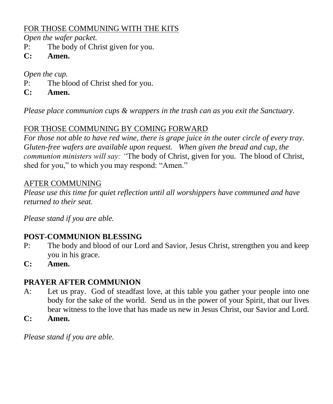### FOR THOSE COMMUNING WITH THE KITS

*Open the wafer packet.*

- P: The body of Christ given for you.
- **C: Amen.**

## *Open the cup.*

- P: The blood of Christ shed for you.
- **C: Amen.**

*Please place communion cups & wrappers in the trash can as you exit the Sanctuary.*

# FOR THOSE COMMUNING BY COMING FORWARD

*For those not able to have red wine, there is grape juice in the outer circle of every tray. Gluten-free wafers are available upon request. When given the bread and cup, the communion ministers will say: "*The body of Christ, given for you. The blood of Christ, shed for you," to which you may respond: "Amen."

# AFTER COMMUNING

*Please use this time for quiet reflection until all worshippers have communed and have returned to their seat.*

*Please stand if you are able.*

# **POST-COMMUNION BLESSING**

- P: The body and blood of our Lord and Savior, Jesus Christ, strengthen you and keep you in his grace.
- **C: Amen.**

# **PRAYER AFTER COMMUNION**

- A: Let us pray. God of steadfast love, at this table you gather your people into one body for the sake of the world. Send us in the power of your Spirit, that our lives bear witness to the love that has made us new in Jesus Christ, our Savior and Lord.
- **C: Amen.**

*Please stand if you are able.*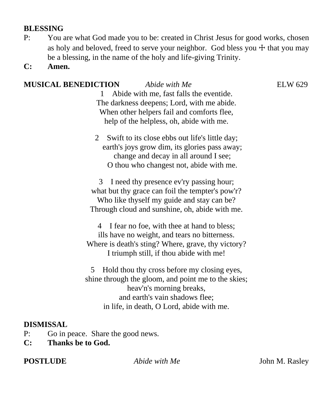#### **BLESSING**

- P: You are what God made you to be: created in Christ Jesus for good works, chosen as holy and beloved, freed to serve your neighbor. God bless you  $+$  that you may be a blessing, in the name of the holy and life-giving Trinity.
- **C: Amen.**

### **MUSICAL BENEDICTION** *Abide with Me* ELW 629

1 Abide with me, fast falls the eventide.

The darkness deepens; Lord, with me abide. When other helpers fail and comforts flee, help of the helpless, oh, abide with me.

2 Swift to its close ebbs out life's little day; earth's joys grow dim, its glories pass away; change and decay in all around I see; O thou who changest not, abide with me.

3 I need thy presence ev'ry passing hour; what but thy grace can foil the tempter's pow'r? Who like thyself my guide and stay can be? Through cloud and sunshine, oh, abide with me.

4 I fear no foe, with thee at hand to bless; ills have no weight, and tears no bitterness. Where is death's sting? Where, grave, thy victory? I triumph still, if thou abide with me!

5 Hold thou thy cross before my closing eyes, shine through the gloom, and point me to the skies; heav'n's morning breaks, and earth's vain shadows flee; in life, in death, O Lord, abide with me.

#### **DISMISSAL**

- P: Go in peace. Share the good news.
- **C: Thanks be to God.**